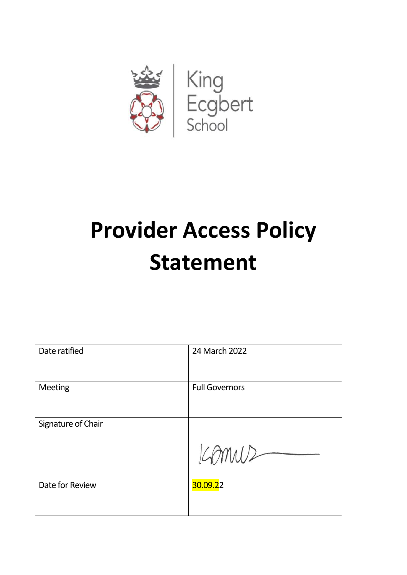

# **Provider Access Policy Statement**

| Date ratified      | 24 March 2022         |
|--------------------|-----------------------|
| <b>Meeting</b>     | <b>Full Governors</b> |
| Signature of Chair |                       |
|                    | LOMU2                 |
| Date for Review    | 30.09.22              |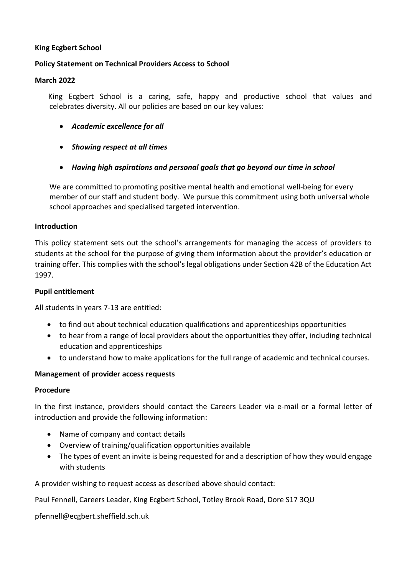## **King Ecgbert School**

### **Policy Statement on Technical Providers Access to School**

#### **March 2022**

King Ecgbert School is a caring, safe, happy and productive school that values and celebrates diversity. All our policies are based on our key values:

- *Academic excellence for all*
- *Showing respect at all times*
- *Having high aspirations and personal goals that go beyond our time in school*

We are committed to promoting positive mental health and emotional well-being for every member of our staff and student body. We pursue this commitment using both universal whole school approaches and specialised targeted intervention.

#### **Introduction**

This policy statement sets out the school's arrangements for managing the access of providers to students at the school for the purpose of giving them information about the provider's education or training offer. This complies with the school's legal obligations under Section 42B of the Education Act 1997.

#### **Pupil entitlement**

All students in years 7-13 are entitled:

- to find out about technical education qualifications and apprenticeships opportunities
- to hear from a range of local providers about the opportunities they offer, including technical education and apprenticeships
- to understand how to make applications for the full range of academic and technical courses.

#### **Management of provider access requests**

#### **Procedure**

In the first instance, providers should contact the Careers Leader via e-mail or a formal letter of introduction and provide the following information:

- Name of company and contact details
- Overview of training/qualification opportunities available
- The types of event an invite is being requested for and a description of how they would engage with students

A provider wishing to request access as described above should contact:

Paul Fennell, Careers Leader, King Ecgbert School, Totley Brook Road, Dore S17 3QU

pfennell@ecgbert.sheffield.sch.uk